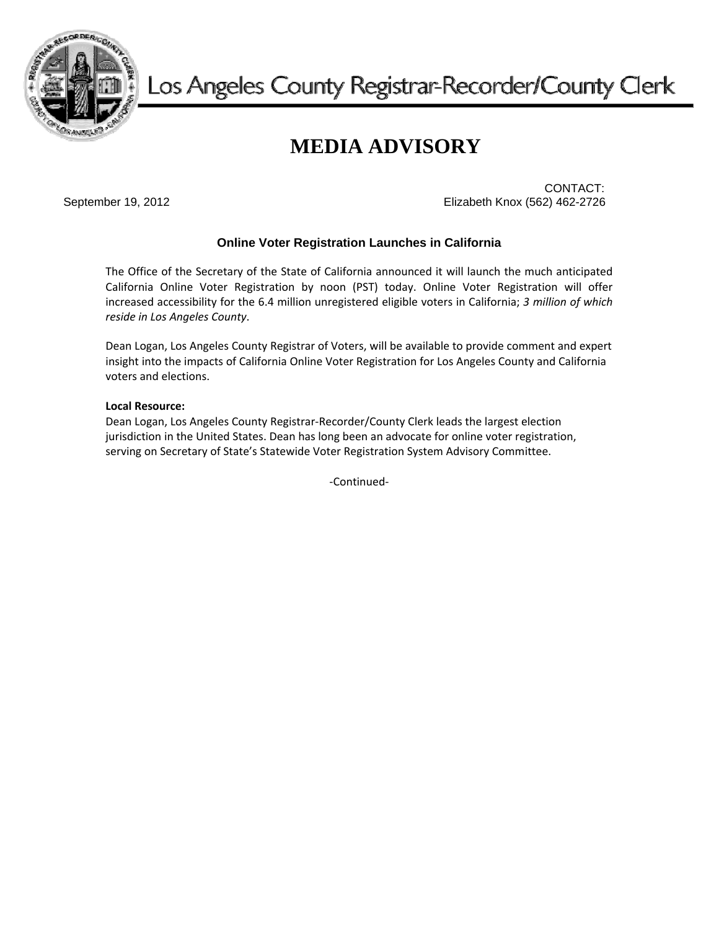

# **MEDIA ADVISORY**

 CONTACT: September 19, 2012 Elizabeth Knox (562) 462-2726

## **Online Voter Registration Launches in California**

The Office of the Secretary of the State of California announced it will launch the much anticipated California Online Voter Registration by noon (PST) today. Online Voter Registration will offer increased accessibility for the 6.4 million unregistered eligible voters in California; *3 million of which reside in Los Angeles County*.

Dean Logan, Los Angeles County Registrar of Voters, will be available to provide comment and expert insight into the impacts of California Online Voter Registration for Los Angeles County and California voters and elections.

#### **Local Resource:**

Dean Logan, Los Angeles County Registrar‐Recorder/County Clerk leads the largest election jurisdiction in the United States. Dean has long been an advocate for online voter registration, serving on Secretary of State's Statewide Voter Registration System Advisory Committee.

‐Continued‐